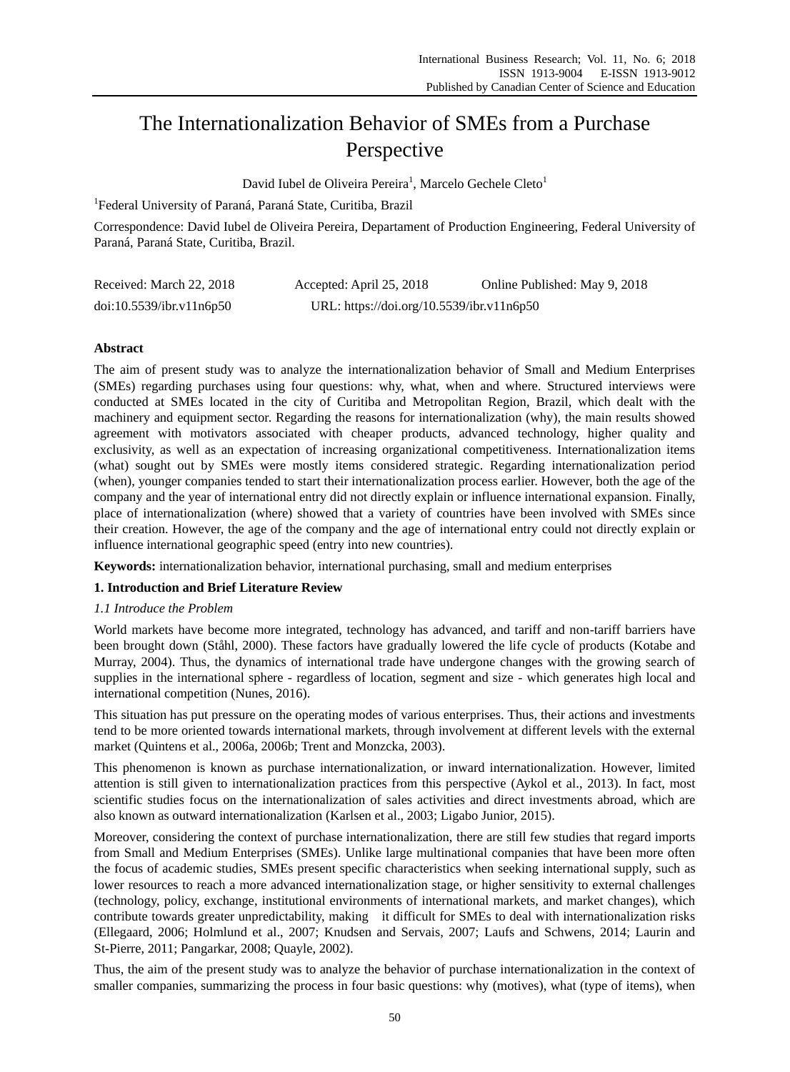# The Internationalization Behavior of SMEs from a Purchase Perspective

David Iubel de Oliveira Pereira<sup>1</sup>, Marcelo Gechele Cleto<sup>1</sup>

<sup>1</sup>Federal University of Paran á Paran á State, Curitiba, Brazil

Correspondence: David Iubel de Oliveira Pereira, Departament of Production Engineering, Federal University of Paraná, Paraná State, Curitiba, Brazil.

| Received: March 22, 2018 | Accepted: April 25, 2018                  | Online Published: May 9, 2018 |
|--------------------------|-------------------------------------------|-------------------------------|
| doi:10.5539/ibr.v11n6p50 | URL: https://doi.org/10.5539/ibr.v11n6p50 |                               |

## **Abstract**

The aim of present study was to analyze the internationalization behavior of Small and Medium Enterprises (SMEs) regarding purchases using four questions: why, what, when and where. Structured interviews were conducted at SMEs located in the city of Curitiba and Metropolitan Region, Brazil, which dealt with the machinery and equipment sector. Regarding the reasons for internationalization (why), the main results showed agreement with motivators associated with cheaper products, advanced technology, higher quality and exclusivity, as well as an expectation of increasing organizational competitiveness. Internationalization items (what) sought out by SMEs were mostly items considered strategic. Regarding internationalization period (when), younger companies tended to start their internationalization process earlier. However, both the age of the company and the year of international entry did not directly explain or influence international expansion. Finally, place of internationalization (where) showed that a variety of countries have been involved with SMEs since their creation. However, the age of the company and the age of international entry could not directly explain or influence international geographic speed (entry into new countries).

**Keywords:** internationalization behavior, international purchasing, small and medium enterprises

## **1. Introduction and Brief Literature Review**

## *1.1 Introduce the Problem*

World markets have become more integrated, technology has advanced, and tariff and non-tariff barriers have been brought down (Ståhl, 2000). These factors have gradually lowered the life cycle of products (Kotabe and Murray, 2004). Thus, the dynamics of international trade have undergone changes with the growing search of supplies in the international sphere - regardless of location, segment and size - which generates high local and international competition (Nunes, 2016).

This situation has put pressure on the operating modes of various enterprises. Thus, their actions and investments tend to be more oriented towards international markets, through involvement at different levels with the external market (Quintens et al., 2006a, 2006b; Trent and Monzcka, 2003).

This phenomenon is known as purchase internationalization, or inward internationalization. However, limited attention is still given to internationalization practices from this perspective (Aykol et al., 2013). In fact, most scientific studies focus on the internationalization of sales activities and direct investments abroad, which are also known as outward internationalization (Karlsen et al., 2003; Ligabo Junior, 2015).

Moreover, considering the context of purchase internationalization, there are still few studies that regard imports from Small and Medium Enterprises (SMEs). Unlike large multinational companies that have been more often the focus of academic studies, SMEs present specific characteristics when seeking international supply, such as lower resources to reach a more advanced internationalization stage, or higher sensitivity to external challenges (technology, policy, exchange, institutional environments of international markets, and market changes), which contribute towards greater unpredictability, making it difficult for SMEs to deal with internationalization risks (Ellegaard, 2006; Holmlund et al., 2007; Knudsen and Servais, 2007; Laufs and Schwens, 2014; Laurin and St-Pierre, 2011; Pangarkar, 2008; Quayle, 2002).

Thus, the aim of the present study was to analyze the behavior of purchase internationalization in the context of smaller companies, summarizing the process in four basic questions: why (motives), what (type of items), when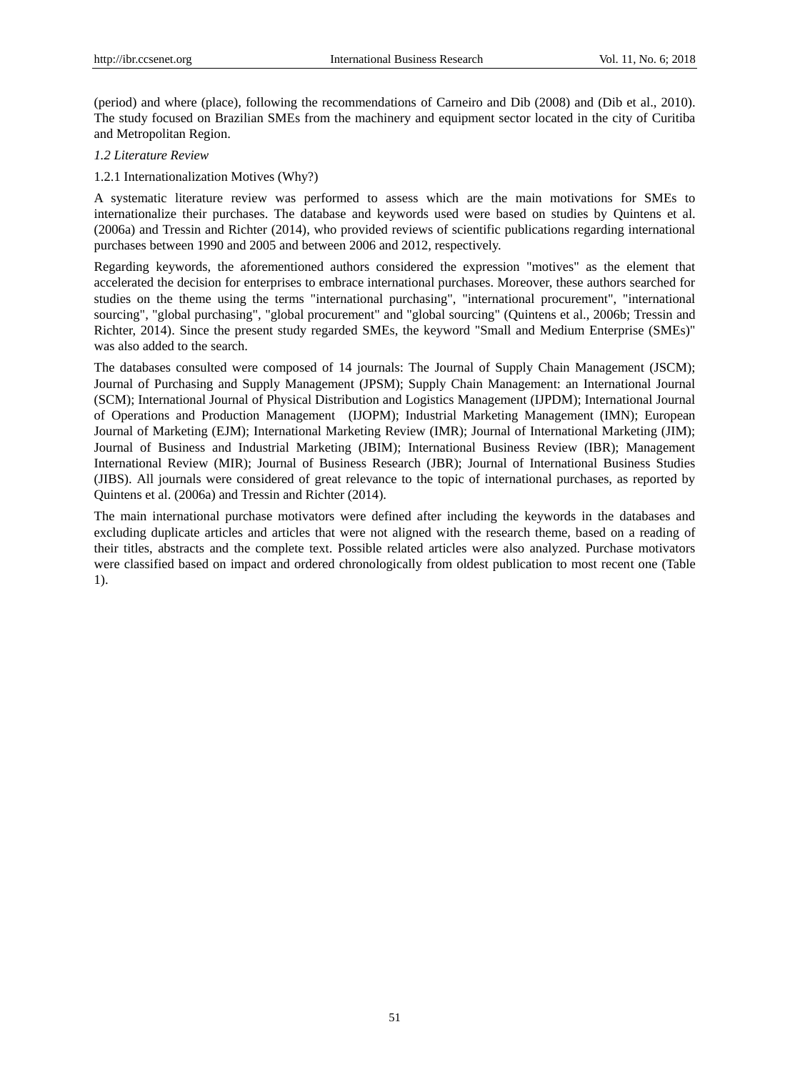(period) and where (place), following the recommendations of Carneiro and Dib (2008) and (Dib et al., 2010). The study focused on Brazilian SMEs from the machinery and equipment sector located in the city of Curitiba and Metropolitan Region.

#### *1.2 Literature Review*

#### 1.2.1 Internationalization Motives (Why?)

A systematic literature review was performed to assess which are the main motivations for SMEs to internationalize their purchases. The database and keywords used were based on studies by Quintens et al. (2006a) and Tressin and Richter (2014), who provided reviews of scientific publications regarding international purchases between 1990 and 2005 and between 2006 and 2012, respectively.

Regarding keywords, the aforementioned authors considered the expression "motives" as the element that accelerated the decision for enterprises to embrace international purchases. Moreover, these authors searched for studies on the theme using the terms "international purchasing", "international procurement", "international sourcing", "global purchasing", "global procurement" and "global sourcing" (Quintens et al., 2006b; Tressin and Richter, 2014). Since the present study regarded SMEs, the keyword "Small and Medium Enterprise (SMEs)" was also added to the search.

The databases consulted were composed of 14 journals: The Journal of Supply Chain Management (JSCM); Journal of Purchasing and Supply Management (JPSM); Supply Chain Management: an International Journal (SCM); International Journal of Physical Distribution and Logistics Management (IJPDM); International Journal of Operations and Production Management (IJOPM); Industrial Marketing Management (IMN); European Journal of Marketing (EJM); International Marketing Review (IMR); Journal of International Marketing (JIM); Journal of Business and Industrial Marketing (JBIM); International Business Review (IBR); Management International Review (MIR); Journal of Business Research (JBR); Journal of International Business Studies (JIBS). All journals were considered of great relevance to the topic of international purchases, as reported by Quintens et al. (2006a) and Tressin and Richter (2014).

The main international purchase motivators were defined after including the keywords in the databases and excluding duplicate articles and articles that were not aligned with the research theme, based on a reading of their titles, abstracts and the complete text. Possible related articles were also analyzed. Purchase motivators were classified based on impact and ordered chronologically from oldest publication to most recent one (Table 1).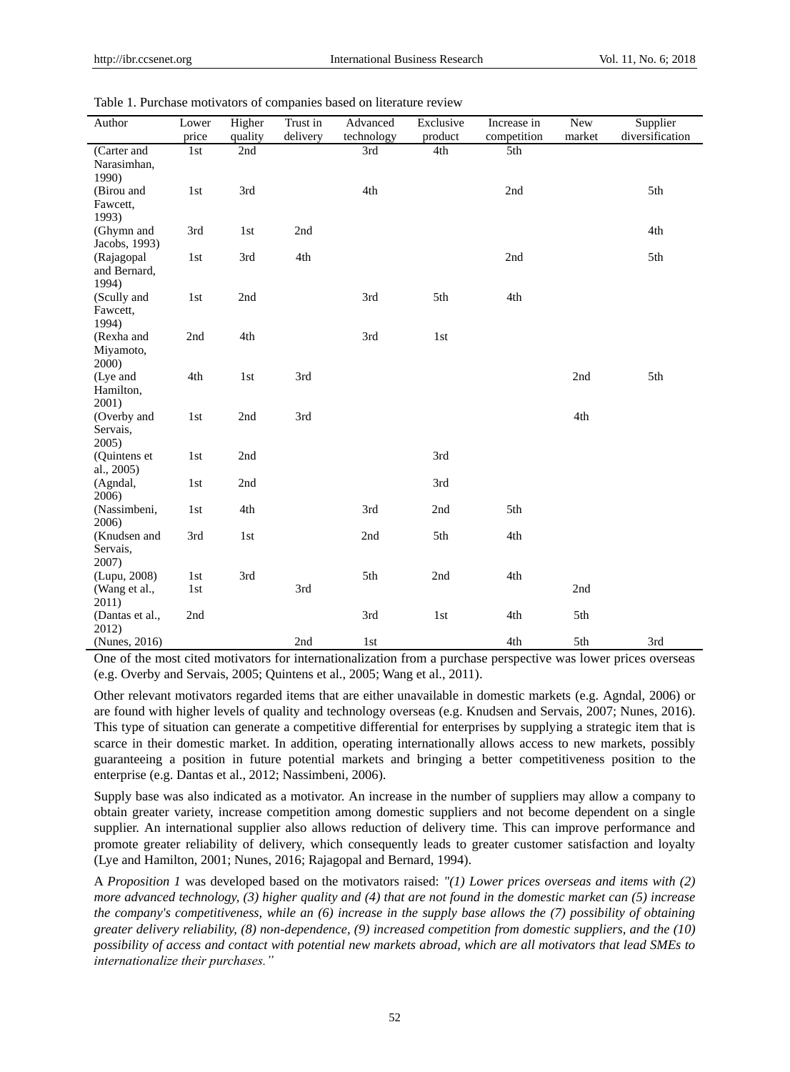| Author                | Lower<br>price | Higher<br>quality | Trust in<br>delivery | Advanced<br>technology | Exclusive<br>product | Increase in<br>competition | New<br>market | Supplier<br>diversification |
|-----------------------|----------------|-------------------|----------------------|------------------------|----------------------|----------------------------|---------------|-----------------------------|
| (Carter and           | 1st            | 2nd               |                      | 3rd                    | 4th                  | 5th                        |               |                             |
| Narasimhan,           |                |                   |                      |                        |                      |                            |               |                             |
| 1990)                 |                |                   |                      |                        |                      |                            |               |                             |
| (Birou and            | 1st            | 3rd               |                      | 4th                    |                      | 2nd                        |               | 5th                         |
| Fawcett,              |                |                   |                      |                        |                      |                            |               |                             |
| 1993)                 |                |                   |                      |                        |                      |                            |               |                             |
| (Ghymn and            | 3rd            | 1st               | 2nd                  |                        |                      |                            |               | 4th                         |
| Jacobs, 1993)         |                |                   |                      |                        |                      |                            |               |                             |
| (Rajagopal            | 1st            | 3rd               | 4th                  |                        |                      | 2nd                        |               | 5th                         |
| and Bernard,          |                |                   |                      |                        |                      |                            |               |                             |
| 1994)                 |                |                   |                      |                        |                      |                            |               |                             |
| (Scully and           | 1st            | 2nd               |                      | 3rd                    | 5th                  | 4th                        |               |                             |
| Fawcett,              |                |                   |                      |                        |                      |                            |               |                             |
| 1994)                 |                |                   |                      |                        |                      |                            |               |                             |
| (Rexha and            | 2nd            | 4th               |                      | 3rd                    | 1st                  |                            |               |                             |
| Miyamoto,             |                |                   |                      |                        |                      |                            |               |                             |
| 2000)                 |                |                   |                      |                        |                      |                            |               |                             |
| (Lye and              | 4th            | 1st               | 3rd                  |                        |                      |                            | 2nd           | 5th                         |
| Hamilton,             |                |                   |                      |                        |                      |                            |               |                             |
| 2001)                 |                |                   |                      |                        |                      |                            |               |                             |
| (Overby and           | 1st            | 2nd               | 3rd                  |                        |                      |                            | 4th           |                             |
| Servais,              |                |                   |                      |                        |                      |                            |               |                             |
| 2005)                 |                |                   |                      |                        |                      |                            |               |                             |
| (Quintens et          | 1st            | 2nd               |                      |                        | 3rd                  |                            |               |                             |
| al., 2005)            |                |                   |                      |                        |                      |                            |               |                             |
| (Agndal,              | 1st            | 2nd               |                      |                        | 3rd                  |                            |               |                             |
| 2006)<br>(Nassimbeni, | 1st            | 4th               |                      | 3rd                    | 2nd                  | 5th                        |               |                             |
| 2006)                 |                |                   |                      |                        |                      |                            |               |                             |
| (Knudsen and          | 3rd            | 1st               |                      | 2nd                    | 5th                  | 4th                        |               |                             |
| Servais,              |                |                   |                      |                        |                      |                            |               |                             |
| 2007)                 |                |                   |                      |                        |                      |                            |               |                             |
| (Lupu, 2008)          | 1st            | 3rd               |                      | 5th                    | 2nd                  | 4th                        |               |                             |
| (Wang et al.,         | 1st            |                   | 3rd                  |                        |                      |                            | 2nd           |                             |
| 2011)                 |                |                   |                      |                        |                      |                            |               |                             |
| (Dantas et al.,       | 2nd            |                   |                      | 3rd                    | 1st                  | 4th                        | 5th           |                             |
| 2012)                 |                |                   |                      |                        |                      |                            |               |                             |
| (Nunes, 2016)         |                |                   | 2nd                  | 1st                    |                      | 4th                        | 5th           | 3rd                         |

Table 1. Purchase motivators of companies based on literature review

One of the most cited motivators for internationalization from a purchase perspective was lower prices overseas (e.g. Overby and Servais, 2005; Quintens et al., 2005; Wang et al., 2011).

Other relevant motivators regarded items that are either unavailable in domestic markets (e.g. Agndal, 2006) or are found with higher levels of quality and technology overseas (e.g. Knudsen and Servais, 2007; Nunes, 2016). This type of situation can generate a competitive differential for enterprises by supplying a strategic item that is scarce in their domestic market. In addition, operating internationally allows access to new markets, possibly guaranteeing a position in future potential markets and bringing a better competitiveness position to the enterprise (e.g. Dantas et al., 2012; Nassimbeni, 2006).

Supply base was also indicated as a motivator. An increase in the number of suppliers may allow a company to obtain greater variety, increase competition among domestic suppliers and not become dependent on a single supplier. An international supplier also allows reduction of delivery time. This can improve performance and promote greater reliability of delivery, which consequently leads to greater customer satisfaction and loyalty (Lye and Hamilton, 2001; Nunes, 2016; Rajagopal and Bernard, 1994).

A *Proposition 1* was developed based on the motivators raised: *"(1) Lower prices overseas and items with (2) more advanced technology, (3) higher quality and (4) that are not found in the domestic market can (5) increase the company's competitiveness, while an (6) increase in the supply base allows the (7) possibility of obtaining greater delivery reliability, (8) non-dependence, (9) increased competition from domestic suppliers, and the (10) possibility of access and contact with potential new markets abroad, which are all motivators that lead SMEs to internationalize their purchases."*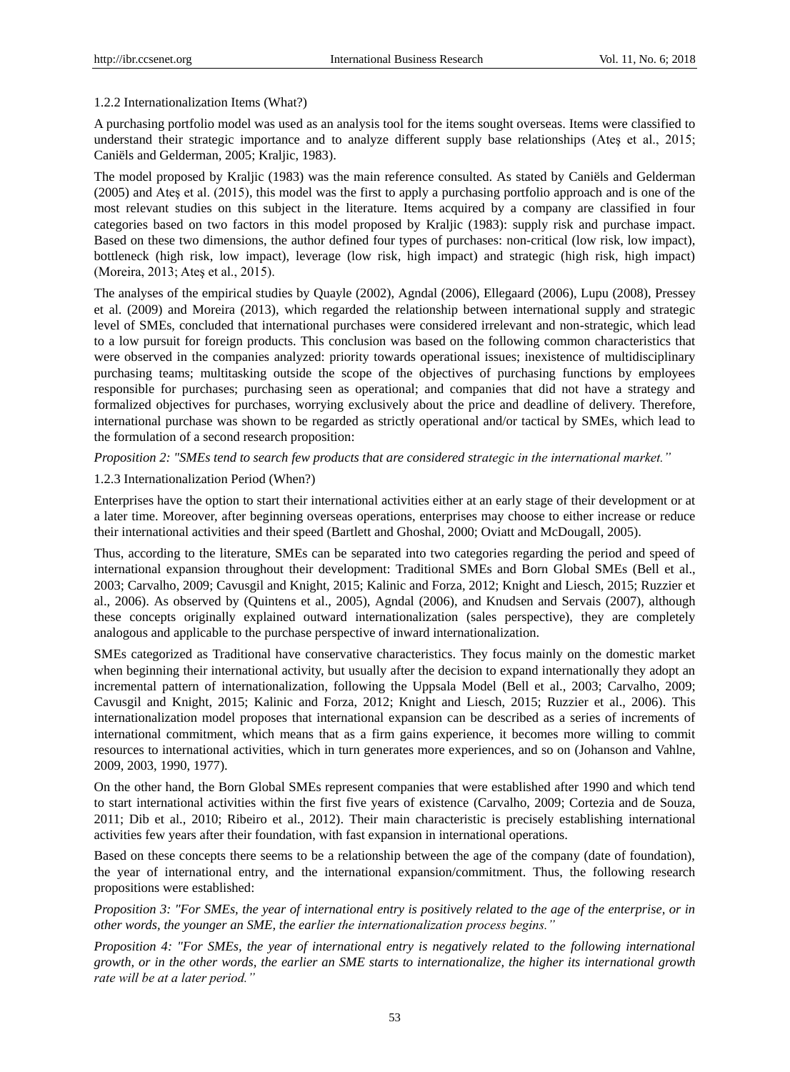#### 1.2.2 Internationalization Items (What?)

A purchasing portfolio model was used as an analysis tool for the items sought overseas. Items were classified to understand their strategic importance and to analyze different supply base relationships (Ateş et al., 2015; Caniëls and Gelderman, 2005; Kraljic, 1983).

The model proposed by Kraljic (1983) was the main reference consulted. As stated by Caniëls and Gelderman (2005) and Ateş et al. (2015), this model was the first to apply a purchasing portfolio approach and is one of the most relevant studies on this subject in the literature. Items acquired by a company are classified in four categories based on two factors in this model proposed by Kraljic (1983): supply risk and purchase impact. Based on these two dimensions, the author defined four types of purchases: non-critical (low risk, low impact), bottleneck (high risk, low impact), leverage (low risk, high impact) and strategic (high risk, high impact) (Moreira, 2013; Ateş et al., 2015).

The analyses of the empirical studies by Quayle (2002), Agndal (2006), Ellegaard (2006), Lupu (2008), Pressey et al. (2009) and Moreira (2013), which regarded the relationship between international supply and strategic level of SMEs, concluded that international purchases were considered irrelevant and non-strategic, which lead to a low pursuit for foreign products. This conclusion was based on the following common characteristics that were observed in the companies analyzed: priority towards operational issues; inexistence of multidisciplinary purchasing teams; multitasking outside the scope of the objectives of purchasing functions by employees responsible for purchases; purchasing seen as operational; and companies that did not have a strategy and formalized objectives for purchases, worrying exclusively about the price and deadline of delivery. Therefore, international purchase was shown to be regarded as strictly operational and/or tactical by SMEs, which lead to the formulation of a second research proposition:

*Proposition 2: "SMEs tend to search few products that are considered strategic in the international market."*

#### 1.2.3 Internationalization Period (When?)

Enterprises have the option to start their international activities either at an early stage of their development or at a later time. Moreover, after beginning overseas operations, enterprises may choose to either increase or reduce their international activities and their speed (Bartlett and Ghoshal, 2000; Oviatt and McDougall, 2005).

Thus, according to the literature, SMEs can be separated into two categories regarding the period and speed of international expansion throughout their development: Traditional SMEs and Born Global SMEs (Bell et al., 2003; Carvalho, 2009; Cavusgil and Knight, 2015; Kalinic and Forza, 2012; Knight and Liesch, 2015; Ruzzier et al., 2006). As observed by (Quintens et al., 2005), Agndal (2006), and Knudsen and Servais (2007), although these concepts originally explained outward internationalization (sales perspective), they are completely analogous and applicable to the purchase perspective of inward internationalization.

SMEs categorized as Traditional have conservative characteristics. They focus mainly on the domestic market when beginning their international activity, but usually after the decision to expand internationally they adopt an incremental pattern of internationalization, following the Uppsala Model (Bell et al., 2003; Carvalho, 2009; Cavusgil and Knight, 2015; Kalinic and Forza, 2012; Knight and Liesch, 2015; Ruzzier et al., 2006). This internationalization model proposes that international expansion can be described as a series of increments of international commitment, which means that as a firm gains experience, it becomes more willing to commit resources to international activities, which in turn generates more experiences, and so on (Johanson and Vahlne, 2009, 2003, 1990, 1977).

On the other hand, the Born Global SMEs represent companies that were established after 1990 and which tend to start international activities within the first five years of existence (Carvalho, 2009; Cortezia and de Souza, 2011; Dib et al., 2010; Ribeiro et al., 2012). Their main characteristic is precisely establishing international activities few years after their foundation, with fast expansion in international operations.

Based on these concepts there seems to be a relationship between the age of the company (date of foundation), the year of international entry, and the international expansion/commitment. Thus, the following research propositions were established:

*Proposition 3: "For SMEs, the year of international entry is positively related to the age of the enterprise, or in other words, the younger an SME, the earlier the internationalization process begins."*

*Proposition 4: "For SMEs, the year of international entry is negatively related to the following international growth, or in the other words, the earlier an SME starts to internationalize, the higher its international growth rate will be at a later period."*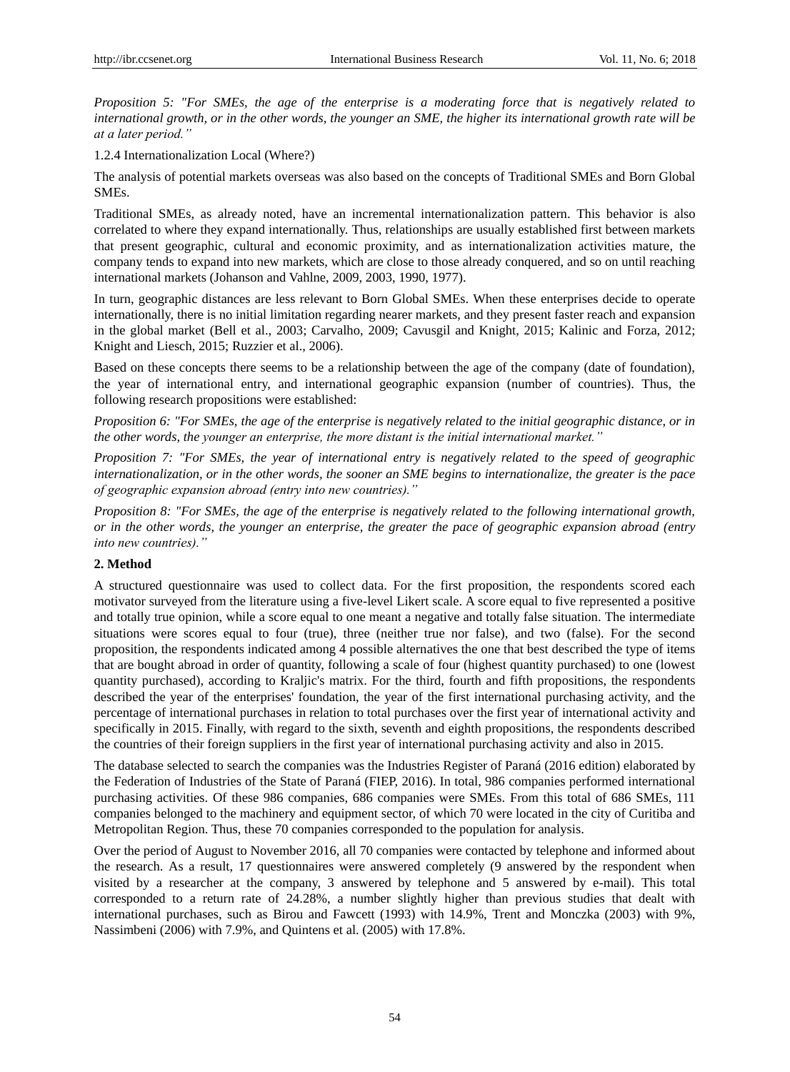*Proposition 5: "For SMEs, the age of the enterprise is a moderating force that is negatively related to international growth, or in the other words, the younger an SME, the higher its international growth rate will be at a later period."*

1.2.4 Internationalization Local (Where?)

The analysis of potential markets overseas was also based on the concepts of Traditional SMEs and Born Global SMEs.

Traditional SMEs, as already noted, have an incremental internationalization pattern. This behavior is also correlated to where they expand internationally. Thus, relationships are usually established first between markets that present geographic, cultural and economic proximity, and as internationalization activities mature, the company tends to expand into new markets, which are close to those already conquered, and so on until reaching international markets (Johanson and Vahlne, 2009, 2003, 1990, 1977).

In turn, geographic distances are less relevant to Born Global SMEs. When these enterprises decide to operate internationally, there is no initial limitation regarding nearer markets, and they present faster reach and expansion in the global market (Bell et al., 2003; Carvalho, 2009; Cavusgil and Knight, 2015; Kalinic and Forza, 2012; Knight and Liesch, 2015; Ruzzier et al., 2006).

Based on these concepts there seems to be a relationship between the age of the company (date of foundation), the year of international entry, and international geographic expansion (number of countries). Thus, the following research propositions were established:

*Proposition 6: "For SMEs, the age of the enterprise is negatively related to the initial geographic distance, or in the other words, the younger an enterprise, the more distant is the initial international market."*

*Proposition 7: "For SMEs, the year of international entry is negatively related to the speed of geographic internationalization, or in the other words, the sooner an SME begins to internationalize, the greater is the pace of geographic expansion abroad (entry into new countries)."*

*Proposition 8: "For SMEs, the age of the enterprise is negatively related to the following international growth, or in the other words, the younger an enterprise, the greater the pace of geographic expansion abroad (entry into new countries)."*

## **2. Method**

A structured questionnaire was used to collect data. For the first proposition, the respondents scored each motivator surveyed from the literature using a five-level Likert scale. A score equal to five represented a positive and totally true opinion, while a score equal to one meant a negative and totally false situation. The intermediate situations were scores equal to four (true), three (neither true nor false), and two (false). For the second proposition, the respondents indicated among 4 possible alternatives the one that best described the type of items that are bought abroad in order of quantity, following a scale of four (highest quantity purchased) to one (lowest quantity purchased), according to Kraljic's matrix. For the third, fourth and fifth propositions, the respondents described the year of the enterprises' foundation, the year of the first international purchasing activity, and the percentage of international purchases in relation to total purchases over the first year of international activity and specifically in 2015. Finally, with regard to the sixth, seventh and eighth propositions, the respondents described the countries of their foreign suppliers in the first year of international purchasing activity and also in 2015.

The database selected to search the companies was the Industries Register of Paraná (2016 edition) elaborated by the Federation of Industries of the State of Paraná (FIEP, 2016). In total, 986 companies performed international purchasing activities. Of these 986 companies, 686 companies were SMEs. From this total of 686 SMEs, 111 companies belonged to the machinery and equipment sector, of which 70 were located in the city of Curitiba and Metropolitan Region. Thus, these 70 companies corresponded to the population for analysis.

Over the period of August to November 2016, all 70 companies were contacted by telephone and informed about the research. As a result, 17 questionnaires were answered completely (9 answered by the respondent when visited by a researcher at the company, 3 answered by telephone and 5 answered by e-mail). This total corresponded to a return rate of 24.28%, a number slightly higher than previous studies that dealt with international purchases, such as Birou and Fawcett (1993) with 14.9%, Trent and Monczka (2003) with 9%, Nassimbeni (2006) with 7.9%, and Quintens et al. (2005) with 17.8%.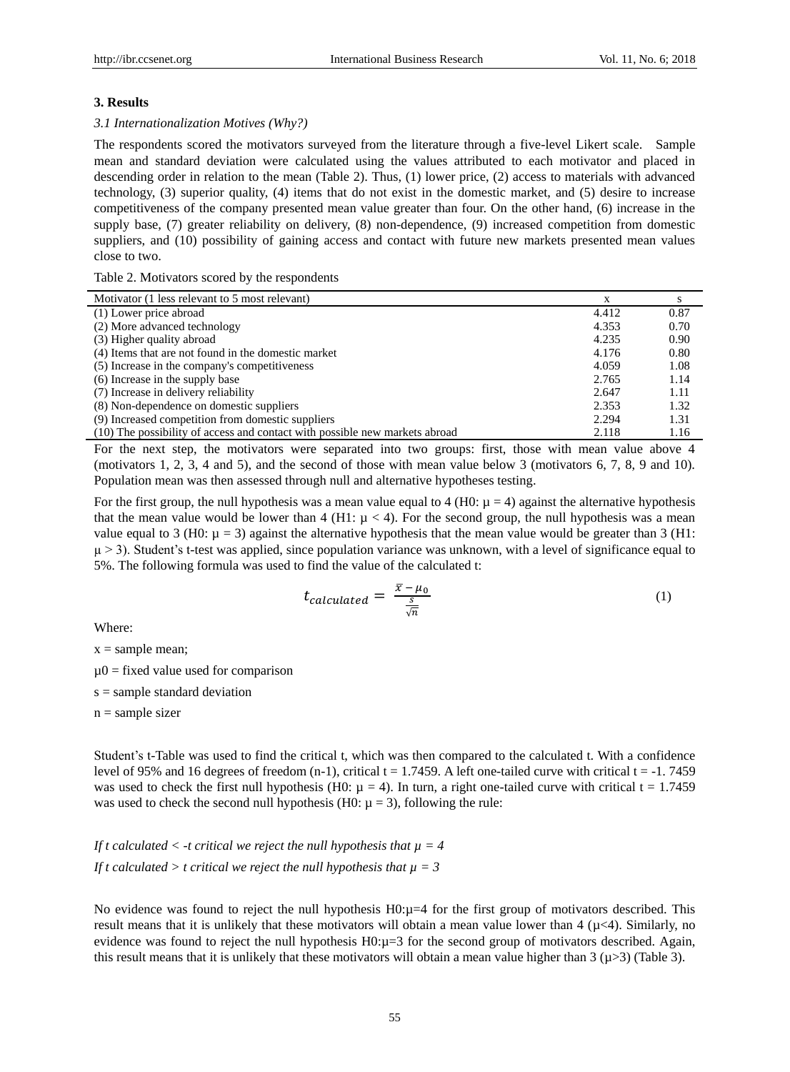#### **3. Results**

#### *3.1 Internationalization Motives (Why?)*

The respondents scored the motivators surveyed from the literature through a five-level Likert scale. Sample mean and standard deviation were calculated using the values attributed to each motivator and placed in descending order in relation to the mean (Table 2). Thus, (1) lower price, (2) access to materials with advanced technology, (3) superior quality, (4) items that do not exist in the domestic market, and (5) desire to increase competitiveness of the company presented mean value greater than four. On the other hand, (6) increase in the supply base, (7) greater reliability on delivery, (8) non-dependence, (9) increased competition from domestic suppliers, and (10) possibility of gaining access and contact with future new markets presented mean values close to two.

Table 2. Motivators scored by the respondents

| Motivator (1 less relevant to 5 most relevant)                              | X     |      |
|-----------------------------------------------------------------------------|-------|------|
| (1) Lower price abroad                                                      | 4.412 | 0.87 |
| (2) More advanced technology                                                | 4.353 | 0.70 |
| (3) Higher quality abroad                                                   | 4.235 | 0.90 |
| (4) Items that are not found in the domestic market                         | 4.176 | 0.80 |
| (5) Increase in the company's competitiveness                               | 4.059 | 1.08 |
| (6) Increase in the supply base                                             | 2.765 | 1.14 |
| (7) Increase in delivery reliability                                        | 2.647 | 1.11 |
| (8) Non-dependence on domestic suppliers                                    | 2.353 | 1.32 |
| (9) Increased competition from domestic suppliers                           | 2.294 | 1.31 |
| (10) The possibility of access and contact with possible new markets abroad | 2.118 | 1.16 |

For the next step, the motivators were separated into two groups: first, those with mean value above 4 (motivators 1, 2, 3, 4 and 5), and the second of those with mean value below 3 (motivators 6, 7, 8, 9 and 10). Population mean was then assessed through null and alternative hypotheses testing.

For the first group, the null hypothesis was a mean value equal to 4 (H0:  $\mu$  = 4) against the alternative hypothesis that the mean value would be lower than 4 (H1:  $\mu$  < 4). For the second group, the null hypothesis was a mean value equal to 3 (H0:  $\mu$  = 3) against the alternative hypothesis that the mean value would be greater than 3 (H1:  $\mu$  > 3). Student's t-test was applied, since population variance was unknown, with a level of significance equal to 5%. The following formula was used to find the value of the calculated t:

$$
t_{calculated} = \frac{\bar{x} - \mu_0}{\frac{s}{\sqrt{n}}}
$$
 (1)

Where:

 $x =$ sample mean;

 $\mu$ 0 = fixed value used for comparison

 $s =$  sample standard deviation

 $n =$ sample sizer

Student's t-Table was used to find the critical t, which was then compared to the calculated t. With a confidence level of 95% and 16 degrees of freedom  $(n-1)$ , critical  $t = 1.7459$ . A left one-tailed curve with critical  $t = -1.7459$ was used to check the first null hypothesis (H0:  $\mu$  = 4). In turn, a right one-tailed curve with critical t = 1.7459 was used to check the second null hypothesis (H0:  $\mu$  = 3), following the rule:

*If t calculated*  $\lt$  *-t critical we reject the null hypothesis that*  $\mu = 4$ *If t calculated > t critical we reject the null hypothesis that*  $\mu = 3$ 

No evidence was found to reject the null hypothesis H0:  $\mu$ =4 for the first group of motivators described. This result means that it is unlikely that these motivators will obtain a mean value lower than 4 ( $\mu$ <4). Similarly, no evidence was found to reject the null hypothesis  $H0: \mu=3$  for the second group of motivators described. Again, this result means that it is unlikely that these motivators will obtain a mean value higher than  $3 (\mu > 3)$  (Table 3).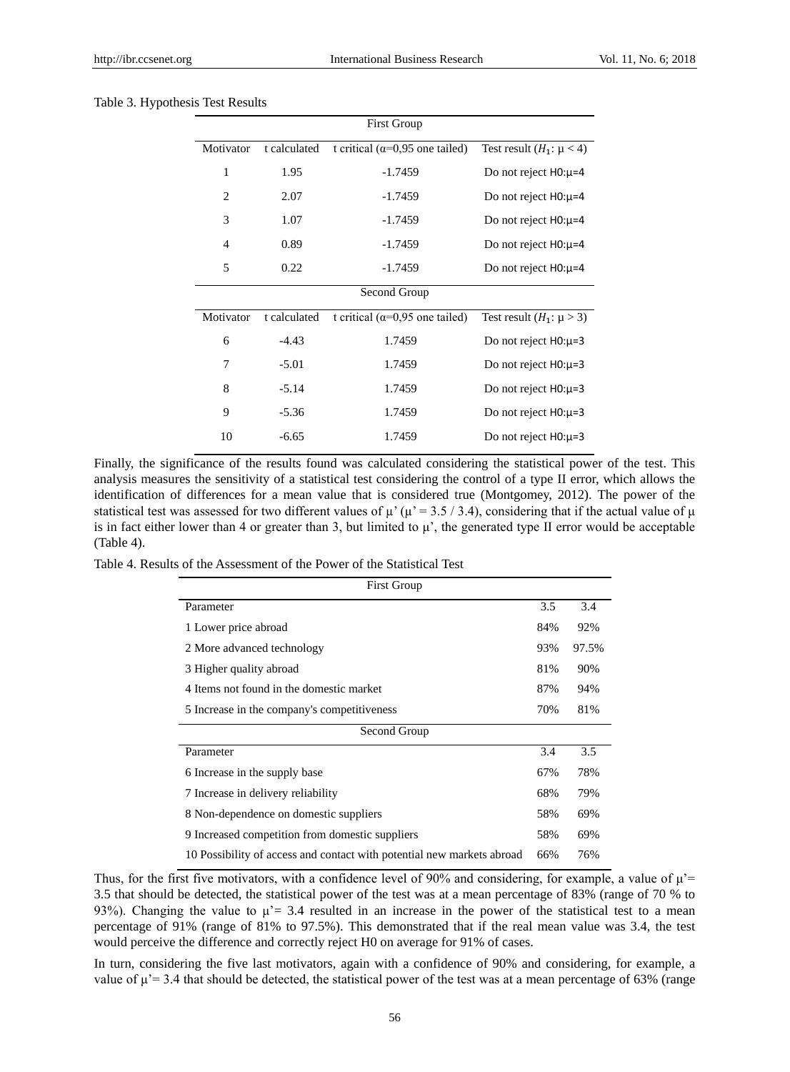|           |              | <b>First Group</b>                      |                              |
|-----------|--------------|-----------------------------------------|------------------------------|
| Motivator | t calculated | t critical ( $\alpha$ =0,95 one tailed) | Test result $(H_1: \mu < 4)$ |
| 1         | 1.95         | $-1.7459$                               | Do not reject $H0:\mu=4$     |
| 2         | 2.07         | $-1.7459$                               | Do not reject $H0:\mu=4$     |
| 3         | 1.07         | $-1.7459$                               | Do not reject $H0:\mu=4$     |
| 4         | 0.89         | $-1.7459$                               | Do not reject $H0:\mu=4$     |
| 5         | 0.22         | $-1.7459$                               | Do not reject $H0:\mu=4$     |
|           |              | Second Group                            |                              |
|           |              |                                         |                              |
| Motivator | t calculated | t critical ( $\alpha$ =0,95 one tailed) | Test result $(H_1: \mu > 3)$ |
| 6         | $-4.43$      | 1.7459                                  | Do not reject $H0:\mu=3$     |
| 7         | $-5.01$      | 1.7459                                  | Do not reject $H0:\mu=3$     |
| 8         | $-5.14$      | 1.7459                                  | Do not reject $H0:\mu=3$     |
| 9         | $-5.36$      | 1.7459                                  | Do not reject $H0:\mu=3$     |
| 10        | $-6.65$      | 1.7459                                  | Do not reject $H0:\mu=3$     |

#### Table 3. Hypothesis Test Results

Finally, the significance of the results found was calculated considering the statistical power of the test. This analysis measures the sensitivity of a statistical test considering the control of a type II error, which allows the identification of differences for a mean value that is considered true (Montgomey, 2012). The power of the statistical test was assessed for two different values of  $\mu'$  ( $\mu' = 3.5 / 3.4$ ), considering that if the actual value of  $\mu$ is in fact either lower than 4 or greater than 3, but limited to  $\mu$ ', the generated type II error would be acceptable (Table 4).

Table 4. Results of the Assessment of the Power of the Statistical Test

| <b>First Group</b>                                                     |     |       |
|------------------------------------------------------------------------|-----|-------|
| Parameter                                                              | 3.5 | 3.4   |
| 1 Lower price abroad                                                   | 84% | 92%   |
| 2 More advanced technology                                             | 93% | 97.5% |
| 3 Higher quality abroad                                                | 81% | 90%   |
| 4 Items not found in the domestic market                               | 87% | 94%   |
| 5 Increase in the company's competitiveness                            | 70% | 81%   |
| Second Group                                                           |     |       |
| Parameter                                                              | 3.4 | 3.5   |
| 6 Increase in the supply base                                          | 67% | 78%   |
| 7 Increase in delivery reliability                                     | 68% | 79%   |
| 8 Non-dependence on domestic suppliers                                 | 58% | 69%   |
| 9 Increased competition from domestic suppliers                        | 58% | 69%   |
| 10 Possibility of access and contact with potential new markets abroad | 66% | 76%   |

Thus, for the first five motivators, with a confidence level of 90% and considering, for example, a value of  $\mu$ <sup>-</sup> 3.5 that should be detected, the statistical power of the test was at a mean percentage of 83% (range of 70 % to 93%). Changing the value to  $\mu$  = 3.4 resulted in an increase in the power of the statistical test to a mean percentage of 91% (range of 81% to 97.5%). This demonstrated that if the real mean value was 3.4, the test would perceive the difference and correctly reject H0 on average for 91% of cases.

In turn, considering the five last motivators, again with a confidence of 90% and considering, for example, a value of  $\mu$ <sup>2</sup> = 3.4 that should be detected, the statistical power of the test was at a mean percentage of 63% (range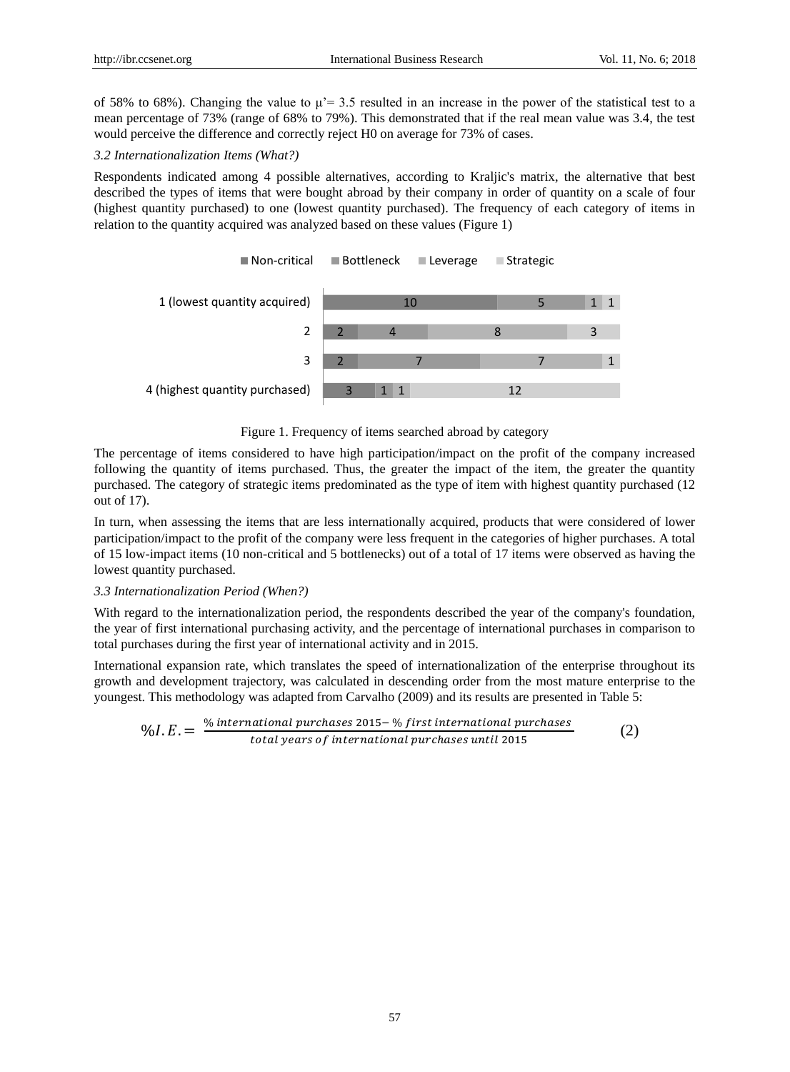of 58% to 68%). Changing the value to  $\mu$  = 3.5 resulted in an increase in the power of the statistical test to a mean percentage of 73% (range of 68% to 79%). This demonstrated that if the real mean value was 3.4, the test would perceive the difference and correctly reject H0 on average for 73% of cases.

### *3.2 Internationalization Items (What?)*

Respondents indicated among 4 possible alternatives, according to Kraljic's matrix, the alternative that best described the types of items that were bought abroad by their company in order of quantity on a scale of four (highest quantity purchased) to one (lowest quantity purchased). The frequency of each category of items in relation to the quantity acquired was analyzed based on these values (Figure 1)



Figure 1. Frequency of items searched abroad by category

The percentage of items considered to have high participation/impact on the profit of the company increased following the quantity of items purchased. Thus, the greater the impact of the item, the greater the quantity purchased. The category of strategic items predominated as the type of item with highest quantity purchased (12 out of 17).

In turn, when assessing the items that are less internationally acquired, products that were considered of lower participation/impact to the profit of the company were less frequent in the categories of higher purchases. A total of 15 low-impact items (10 non-critical and 5 bottlenecks) out of a total of 17 items were observed as having the lowest quantity purchased.

## *3.3 Internationalization Period (When?)*

With regard to the internationalization period, the respondents described the year of the company's foundation, the year of first international purchasing activity, and the percentage of international purchases in comparison to total purchases during the first year of international activity and in 2015.

International expansion rate, which translates the speed of internationalization of the enterprise throughout its growth and development trajectory, was calculated in descending order from the most mature enterprise to the youngest. This methodology was adapted from Carvalho (2009) and its results are presented in Table 5:

$$
\%I.E. = \frac{\% \text{ international purchases 2015} - \% \text{ first international purchases}}{\text{total years of international purchases until 2015}} \tag{2}
$$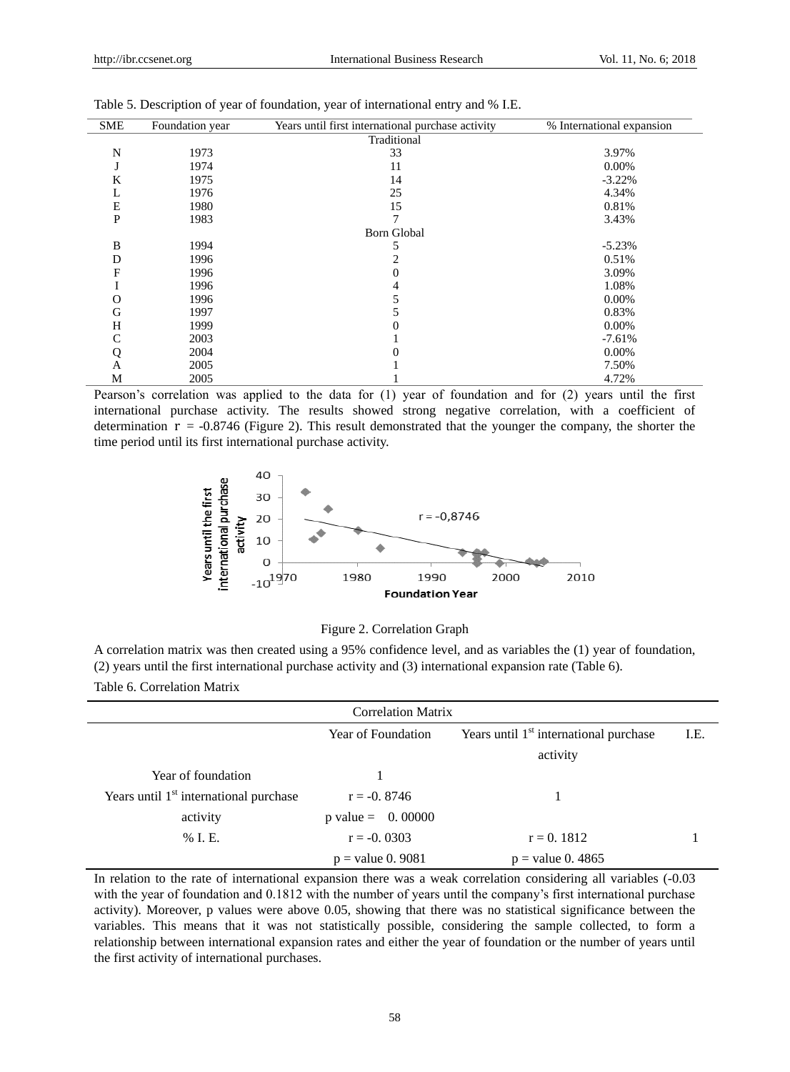| <b>SME</b>   | Foundation year | Years until first international purchase activity | % International expansion |
|--------------|-----------------|---------------------------------------------------|---------------------------|
|              |                 | Traditional                                       |                           |
| N            | 1973            | 33                                                | 3.97%                     |
|              | 1974            | 11                                                | 0.00%                     |
| K            | 1975            | 14                                                | $-3.22%$                  |
| L            | 1976            | 25                                                | 4.34%                     |
| E            | 1980            | 15                                                | 0.81%                     |
| $\mathbf{P}$ | 1983            |                                                   | 3.43%                     |
|              |                 | <b>Born Global</b>                                |                           |
| B            | 1994            | 5                                                 | $-5.23%$                  |
| D            | 1996            |                                                   | 0.51%                     |
| F            | 1996            | 0                                                 | 3.09%                     |
| $\bf{1}$     | 1996            | 4                                                 | 1.08%                     |
| O            | 1996            | 5                                                 | 0.00%                     |
| G            | 1997            | 5                                                 | 0.83%                     |
| H            | 1999            |                                                   | $0.00\%$                  |
| C            | 2003            |                                                   | $-7.61%$                  |
| Q            | 2004            |                                                   | 0.00%                     |
| A            | 2005            |                                                   | 7.50%                     |
| M            | 2005            |                                                   | 4.72%                     |

| Table 5. Description of year of foundation, year of international entry and % I.E. |  |  |  |
|------------------------------------------------------------------------------------|--|--|--|
|------------------------------------------------------------------------------------|--|--|--|

Pearson's correlation was applied to the data for (1) year of foundation and for (2) years until the first international purchase activity. The results showed strong negative correlation, with a coefficient of determination  $r = -0.8746$  (Figure 2). This result demonstrated that the younger the company, the shorter the time period until its first international purchase activity.



|  |  |  | Figure 2. Correlation Graph |  |
|--|--|--|-----------------------------|--|
|--|--|--|-----------------------------|--|

A correlation matrix was then created using a 95% confidence level, and as variables the (1) year of foundation, (2) years until the first international purchase activity and (3) international expansion rate (Table 6).

Table 6. Correlation Matrix

|                                                    | <b>Correlation Matrix</b>   |                                                    |      |
|----------------------------------------------------|-----------------------------|----------------------------------------------------|------|
|                                                    | Year of Foundation          | Years until 1 <sup>st</sup> international purchase | I.E. |
|                                                    |                             | activity                                           |      |
| Year of foundation                                 |                             |                                                    |      |
| Years until 1 <sup>st</sup> international purchase | $r = -0.8746$               |                                                    |      |
| activity                                           | $p \text{ value} = 0.00000$ |                                                    |      |
| $%$ I. E.                                          | $r = -0.0303$               | $r = 0.1812$                                       |      |
|                                                    | $p =$ value 0. 9081         | $p =$ value 0. 4865                                |      |

In relation to the rate of international expansion there was a weak correlation considering all variables (-0.03 with the year of foundation and 0.1812 with the number of years until the company's first international purchase activity). Moreover, p values were above 0.05, showing that there was no statistical significance between the variables. This means that it was not statistically possible, considering the sample collected, to form a relationship between international expansion rates and either the year of foundation or the number of years until the first activity of international purchases.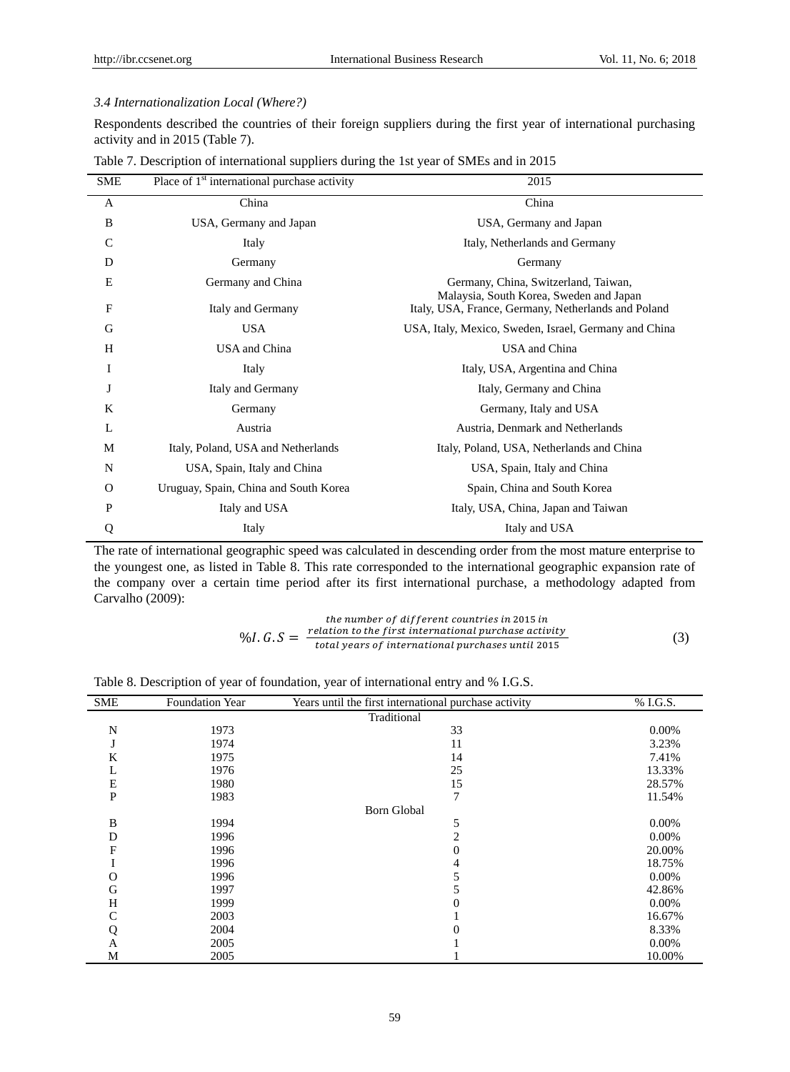#### *3.4 Internationalization Local (Where?)*

Respondents described the countries of their foreign suppliers during the first year of international purchasing activity and in 2015 (Table 7).

| Table 7. Description of international suppliers during the 1st year of SMEs and in 2015 |  |  |
|-----------------------------------------------------------------------------------------|--|--|
|-----------------------------------------------------------------------------------------|--|--|

| <b>SME</b> | Place of 1 <sup>st</sup> international purchase activity | 2015                                                                            |
|------------|----------------------------------------------------------|---------------------------------------------------------------------------------|
| A          | China                                                    | China                                                                           |
| B          | USA, Germany and Japan                                   | USA, Germany and Japan                                                          |
| C          | Italy                                                    | Italy, Netherlands and Germany                                                  |
| D          | Germany                                                  | Germany                                                                         |
| E          | Germany and China                                        | Germany, China, Switzerland, Taiwan,<br>Malaysia, South Korea, Sweden and Japan |
| F          | Italy and Germany                                        | Italy, USA, France, Germany, Netherlands and Poland                             |
| G          | <b>USA</b>                                               | USA, Italy, Mexico, Sweden, Israel, Germany and China                           |
| H          | <b>USA</b> and China                                     | USA and China                                                                   |
| I          | Italy                                                    | Italy, USA, Argentina and China                                                 |
| J          | Italy and Germany                                        | Italy, Germany and China                                                        |
| K          | Germany                                                  | Germany, Italy and USA                                                          |
| L          | Austria                                                  | Austria, Denmark and Netherlands                                                |
| M          | Italy, Poland, USA and Netherlands                       | Italy, Poland, USA, Netherlands and China                                       |
| N          | USA, Spain, Italy and China                              | USA, Spain, Italy and China                                                     |
| $\Omega$   | Uruguay, Spain, China and South Korea                    | Spain, China and South Korea                                                    |
| P          | Italy and USA                                            | Italy, USA, China, Japan and Taiwan                                             |
| Q          | Italy                                                    | Italy and USA                                                                   |

The rate of international geographic speed was calculated in descending order from the most mature enterprise to the youngest one, as listed in Table 8. This rate corresponded to the international geographic expansion rate of the company over a certain time period after its first international purchase, a methodology adapted from Carvalho (2009):

*the number of different countries in* 2015 *in*  
\n
$$
\%I.G.S = \frac{relation\ to\ the\ first\ international\ purchase\ activity}{total\ years\ of\ international\ purchase\ until\ 2015}
$$
\n(3)

| Table 8. Description of year of foundation, year of international entry and % I.G.S. |
|--------------------------------------------------------------------------------------|
|--------------------------------------------------------------------------------------|

| <b>SME</b>  | <b>Foundation Year</b> | Years until the first international purchase activity | % I.G.S. |  |  |
|-------------|------------------------|-------------------------------------------------------|----------|--|--|
|             | Traditional            |                                                       |          |  |  |
| N           | 1973                   | 33                                                    | 0.00%    |  |  |
|             | 1974                   | 11                                                    | 3.23%    |  |  |
| K           | 1975                   | 14                                                    | 7.41%    |  |  |
| L           | 1976                   | 25                                                    | 13.33%   |  |  |
| E           | 1980                   | 15                                                    | 28.57%   |  |  |
| P           | 1983                   | 7                                                     | 11.54%   |  |  |
| Born Global |                        |                                                       |          |  |  |
| B           | 1994                   | 5                                                     | 0.00%    |  |  |
| D           | 1996                   | ↑                                                     | 0.00%    |  |  |
| F           | 1996                   | 0                                                     | 20.00%   |  |  |
|             | 1996                   | 4                                                     | 18.75%   |  |  |
| O           | 1996                   |                                                       | 0.00%    |  |  |
| G           | 1997                   | ን                                                     | 42.86%   |  |  |
| H           | 1999                   |                                                       | 0.00%    |  |  |
| C           | 2003                   |                                                       | 16.67%   |  |  |
| Q           | 2004                   |                                                       | 8.33%    |  |  |
| A           | 2005                   |                                                       | 0.00%    |  |  |
| M           | 2005                   |                                                       | 10.00%   |  |  |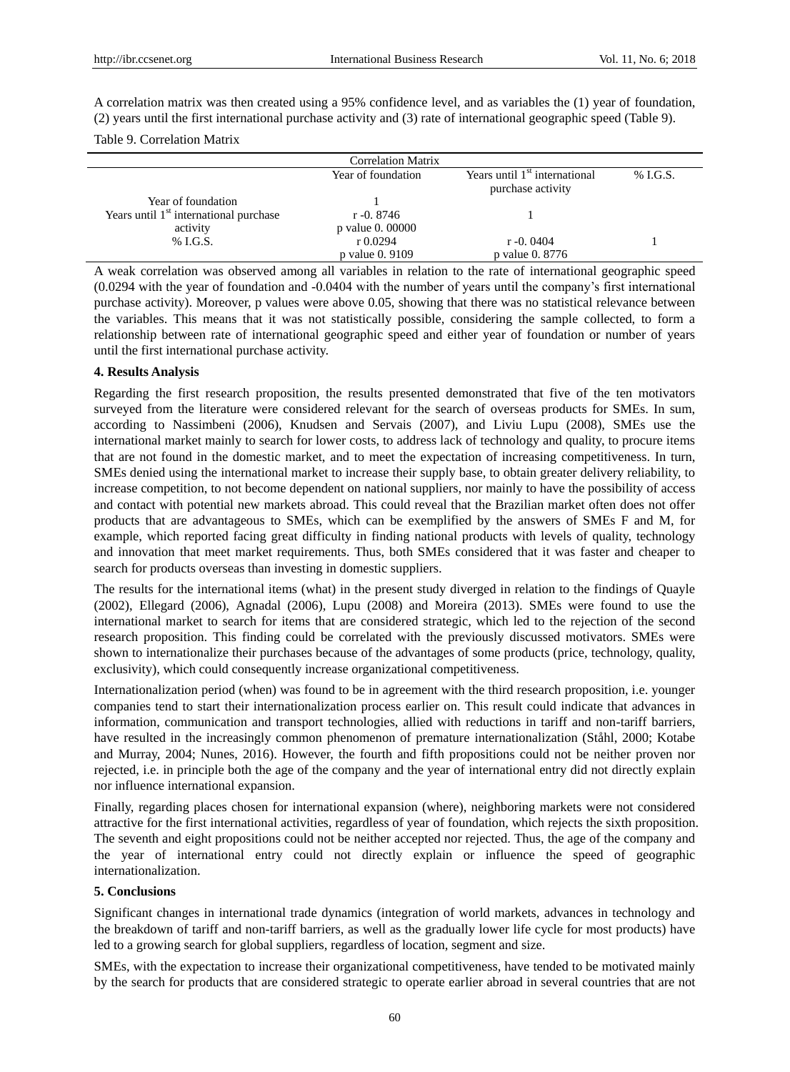A correlation matrix was then created using a 95% confidence level, and as variables the (1) year of foundation, (2) years until the first international purchase activity and (3) rate of international geographic speed (Table 9).

#### Table 9. Correlation Matrix

|                                                    | <b>Correlation Matrix</b> |                                                      |          |
|----------------------------------------------------|---------------------------|------------------------------------------------------|----------|
|                                                    | Year of foundation        | Years until $1st$ international<br>purchase activity | % I.G.S. |
| Year of foundation                                 |                           |                                                      |          |
| Years until 1 <sup>st</sup> international purchase | r -0. 8746                |                                                      |          |
| activity                                           | p value 0.00000           |                                                      |          |
| % I.G.S.                                           | r 0.0294                  | r -0, 0404                                           |          |
|                                                    | p value 0. 9109           | p value 0.8776                                       |          |

A weak correlation was observed among all variables in relation to the rate of international geographic speed (0.0294 with the year of foundation and -0.0404 with the number of years until the company's first international purchase activity). Moreover, p values were above 0.05, showing that there was no statistical relevance between the variables. This means that it was not statistically possible, considering the sample collected, to form a relationship between rate of international geographic speed and either year of foundation or number of years until the first international purchase activity.

#### **4. Results Analysis**

Regarding the first research proposition, the results presented demonstrated that five of the ten motivators surveyed from the literature were considered relevant for the search of overseas products for SMEs. In sum, according to Nassimbeni (2006), Knudsen and Servais (2007), and Liviu Lupu (2008), SMEs use the international market mainly to search for lower costs, to address lack of technology and quality, to procure items that are not found in the domestic market, and to meet the expectation of increasing competitiveness. In turn, SMEs denied using the international market to increase their supply base, to obtain greater delivery reliability, to increase competition, to not become dependent on national suppliers, nor mainly to have the possibility of access and contact with potential new markets abroad. This could reveal that the Brazilian market often does not offer products that are advantageous to SMEs, which can be exemplified by the answers of SMEs F and M, for example, which reported facing great difficulty in finding national products with levels of quality, technology and innovation that meet market requirements. Thus, both SMEs considered that it was faster and cheaper to search for products overseas than investing in domestic suppliers.

The results for the international items (what) in the present study diverged in relation to the findings of Quayle (2002), Ellegard (2006), Agnadal (2006), Lupu (2008) and Moreira (2013). SMEs were found to use the international market to search for items that are considered strategic, which led to the rejection of the second research proposition. This finding could be correlated with the previously discussed motivators. SMEs were shown to internationalize their purchases because of the advantages of some products (price, technology, quality, exclusivity), which could consequently increase organizational competitiveness.

Internationalization period (when) was found to be in agreement with the third research proposition, i.e. younger companies tend to start their internationalization process earlier on. This result could indicate that advances in information, communication and transport technologies, allied with reductions in tariff and non-tariff barriers, have resulted in the increasingly common phenomenon of premature internationalization (Ståhl, 2000; Kotabe and Murray, 2004; Nunes, 2016). However, the fourth and fifth propositions could not be neither proven nor rejected, i.e. in principle both the age of the company and the year of international entry did not directly explain nor influence international expansion.

Finally, regarding places chosen for international expansion (where), neighboring markets were not considered attractive for the first international activities, regardless of year of foundation, which rejects the sixth proposition. The seventh and eight propositions could not be neither accepted nor rejected. Thus, the age of the company and the year of international entry could not directly explain or influence the speed of geographic internationalization.

#### **5. Conclusions**

Significant changes in international trade dynamics (integration of world markets, advances in technology and the breakdown of tariff and non-tariff barriers, as well as the gradually lower life cycle for most products) have led to a growing search for global suppliers, regardless of location, segment and size.

SMEs, with the expectation to increase their organizational competitiveness, have tended to be motivated mainly by the search for products that are considered strategic to operate earlier abroad in several countries that are not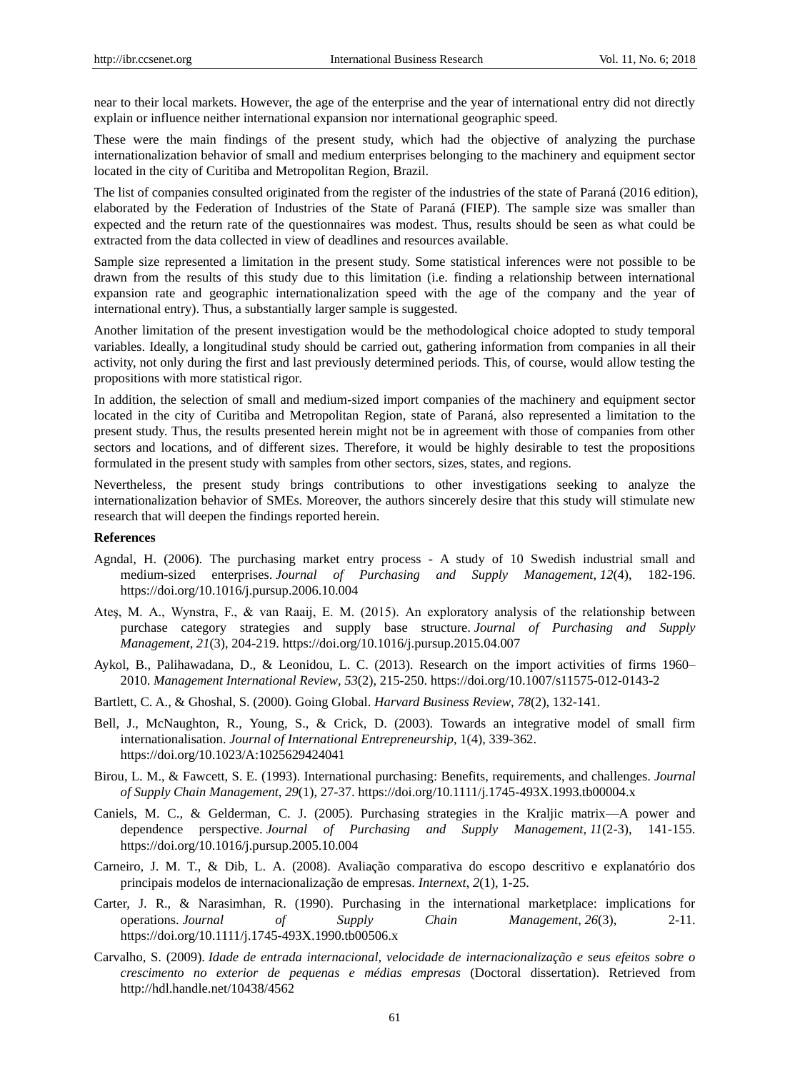near to their local markets. However, the age of the enterprise and the year of international entry did not directly explain or influence neither international expansion nor international geographic speed.

These were the main findings of the present study, which had the objective of analyzing the purchase internationalization behavior of small and medium enterprises belonging to the machinery and equipment sector located in the city of Curitiba and Metropolitan Region, Brazil.

The list of companies consulted originated from the register of the industries of the state of Paraná (2016 edition), elaborated by the Federation of Industries of the State of Paraná (FIEP). The sample size was smaller than expected and the return rate of the questionnaires was modest. Thus, results should be seen as what could be extracted from the data collected in view of deadlines and resources available.

Sample size represented a limitation in the present study. Some statistical inferences were not possible to be drawn from the results of this study due to this limitation (i.e. finding a relationship between international expansion rate and geographic internationalization speed with the age of the company and the year of international entry). Thus, a substantially larger sample is suggested.

Another limitation of the present investigation would be the methodological choice adopted to study temporal variables. Ideally, a longitudinal study should be carried out, gathering information from companies in all their activity, not only during the first and last previously determined periods. This, of course, would allow testing the propositions with more statistical rigor.

In addition, the selection of small and medium-sized import companies of the machinery and equipment sector located in the city of Curitiba and Metropolitan Region, state of Paraná, also represented a limitation to the present study. Thus, the results presented herein might not be in agreement with those of companies from other sectors and locations, and of different sizes. Therefore, it would be highly desirable to test the propositions formulated in the present study with samples from other sectors, sizes, states, and regions.

Nevertheless, the present study brings contributions to other investigations seeking to analyze the internationalization behavior of SMEs. Moreover, the authors sincerely desire that this study will stimulate new research that will deepen the findings reported herein.

#### **References**

- Agndal, H. (2006). The purchasing market entry process A study of 10 Swedish industrial small and medium-sized enterprises. *Journal of Purchasing and Supply Management*, *12*(4), 182-196. <https://doi.org/10.1016/j.pursup.2006.10.004>
- Ateş, M. A., Wynstra, F., & van Raaij, E. M. (2015). An exploratory analysis of the relationship between purchase category strategies and supply base structure. *Journal of Purchasing and Supply Management*, *21*(3), 204-219. <https://doi.org/10.1016/j.pursup.2015.04.007>
- Aykol, B., Palihawadana, D., & Leonidou, L. C. (2013). Research on the import activities of firms 1960– 2010. *Management International Review*, *53*(2), 215-250. https://doi.org/10.1007/s11575-012-0143-2
- Bartlett, C. A., & Ghoshal, S. (2000). Going Global. *Harvard Business Review*, *78*(2), 132-141.
- Bell, J., McNaughton, R., Young, S., & Crick, D. (2003). Towards an integrative model of small firm internationalisation. *Journal of International Entrepreneurship*, 1(4), 339-362. https://doi.org/10.1023/A:1025629424041
- Birou, L. M., & Fawcett, S. E. (1993). International purchasing: Benefits, requirements, and challenges. *Journal of Supply Chain Management*, *29*(1), 27-37.<https://doi.org/10.1111/j.1745-493X.1993.tb00004.x>
- Caniels, M. C., & Gelderman, C. J. (2005). Purchasing strategies in the Kraljic matrix—A power and dependence perspective. *Journal of Purchasing and Supply Management*, *11*(2-3), 141-155. <https://doi.org/10.1016/j.pursup.2005.10.004>
- Carneiro, J. M. T., & Dib, L. A. (2008). Avaliação comparativa do escopo descritivo e explanatório dos principais modelos de internacionalização de empresas. *Internext*, *2*(1), 1-25.
- Carter, J. R., & Narasimhan, R. (1990). Purchasing in the international marketplace: implications for operations. *Journal of Supply Chain Management*, *26*(3), 2-11. <https://doi.org/10.1111/j.1745-493X.1990.tb00506.x>
- Carvalho, S. (2009). *Idade de entrada internacional, velocidade de internacionalização e seus efeitos sobre o crescimento no exterior de pequenas e médias empresas* (Doctoral dissertation). Retrieved from <http://hdl.handle.net/10438/4562>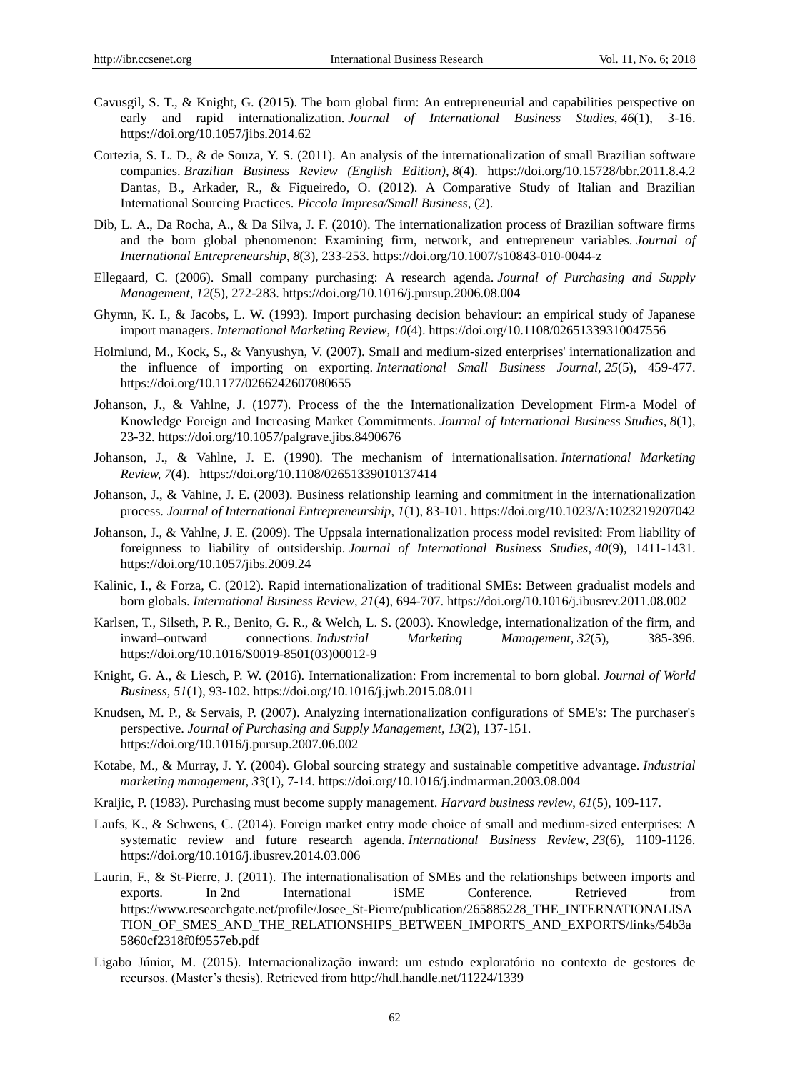- Cavusgil, S. T., & Knight, G. (2015). The born global firm: An entrepreneurial and capabilities perspective on early and rapid internationalization. *Journal of International Business Studies*, *46*(1), 3-16. <https://doi.org/10.1057/jibs.2014.62>
- Cortezia, S. L. D., & de Souza, Y. S. (2011). An analysis of the internationalization of small Brazilian software companies. *Brazilian Business Review (English Edition)*, *8*(4). https://doi.org/10.15728/bbr.2011.8.4.2 Dantas, B., Arkader, R., & Figueiredo, O. (2012). A Comparative Study of Italian and Brazilian International Sourcing Practices. *Piccola Impresa/Small Business*, (2).
- Dib, L. A., Da Rocha, A., & Da Silva, J. F. (2010). The internationalization process of Brazilian software firms and the born global phenomenon: Examining firm, network, and entrepreneur variables. *Journal of International Entrepreneurship*, *8*(3), 233-253. <https://doi.org/10.1007/s10843-010-0044-z>
- Ellegaard, C. (2006). Small company purchasing: A research agenda. *Journal of Purchasing and Supply Management*, *12*(5), 272-283.<https://doi.org/10.1016/j.pursup.2006.08.004>
- Ghymn, K. I., & Jacobs, L. W. (1993). Import purchasing decision behaviour: an empirical study of Japanese import managers. *International Marketing Review*, *10*(4).<https://doi.org/10.1108/02651339310047556>
- Holmlund, M., Kock, S., & Vanyushyn, V. (2007). Small and medium-sized enterprises' internationalization and the influence of importing on exporting. *International Small Business Journal*, *25*(5), 459-477. <https://doi.org/10.1177/0266242607080655>
- Johanson, J., & Vahlne, J. (1977). Process of the the Internationalization Development Firm-a Model of Knowledge Foreign and Increasing Market Commitments. *Journal of International Business Studies*, *8*(1), 23-32. https://doi.org/10.1057/palgrave.jibs.8490676
- Johanson, J., & Vahlne, J. E. (1990). The mechanism of internationalisation. *International Marketing Review, 7*(4). <https://doi.org/10.1108/02651339010137414>
- Johanson, J., & Vahlne, J. E. (2003). Business relationship learning and commitment in the internationalization process. *Journal of International Entrepreneurship*, *1*(1), 83-101. <https://doi.org/10.1023/A:1023219207042>
- Johanson, J., & Vahlne, J. E. (2009). The Uppsala internationalization process model revisited: From liability of foreignness to liability of outsidership. *Journal of International Business Studies*, *40*(9), 1411-1431. <https://doi.org/10.1057/jibs.2009.24>
- Kalinic, I., & Forza, C. (2012). Rapid internationalization of traditional SMEs: Between gradualist models and born globals. *International Business Review*, *21*(4), 694-707.<https://doi.org/10.1016/j.ibusrev.2011.08.002>
- Karlsen, T., Silseth, P. R., Benito, G. R., & Welch, L. S. (2003). Knowledge, internationalization of the firm, and inward–outward connections. *Industrial Marketing Management*, *32*(5), 385-396. [https://doi.org/10.1016/S0019-8501\(03\)00012-9](https://doi.org/10.1016/S0019-8501(03)00012-9)
- Knight, G. A., & Liesch, P. W. (2016). Internationalization: From incremental to born global. *Journal of World Business*, *51*(1), 93-102.<https://doi.org/10.1016/j.jwb.2015.08.011>
- Knudsen, M. P., & Servais, P. (2007). Analyzing internationalization configurations of SME's: The purchaser's perspective. *Journal of Purchasing and Supply Management*, *13*(2), 137-151. <https://doi.org/10.1016/j.pursup.2007.06.002>
- Kotabe, M., & Murray, J. Y. (2004). Global sourcing strategy and sustainable competitive advantage. *Industrial marketing management*, *33*(1), 7-14.<https://doi.org/10.1016/j.indmarman.2003.08.004>
- Kraljic, P. (1983). Purchasing must become supply management. *Harvard business review*, *61*(5), 109-117.
- Laufs, K., & Schwens, C. (2014). Foreign market entry mode choice of small and medium-sized enterprises: A systematic review and future research agenda. *International Business Review*, *23*(6), 1109-1126. <https://doi.org/10.1016/j.ibusrev.2014.03.006>
- Laurin, F., & St-Pierre, J. (2011). The internationalisation of SMEs and the relationships between imports and exports. In 2nd International iSME Conference. Retrieved from https://www.researchgate.net/profile/Josee\_St-Pierre/publication/265885228\_THE\_INTERNATIONALISA TION\_OF\_SMES\_AND\_THE\_RELATIONSHIPS\_BETWEEN\_IMPORTS\_AND\_EXPORTS/links/54b3a 5860cf2318f0f9557eb.pdf
- Ligabo Júnior, M. (2015). Internacionalização inward: um estudo exploratório no contexto de gestores de recursos. (Master's thesis). Retrieved from<http://hdl.handle.net/11224/1339>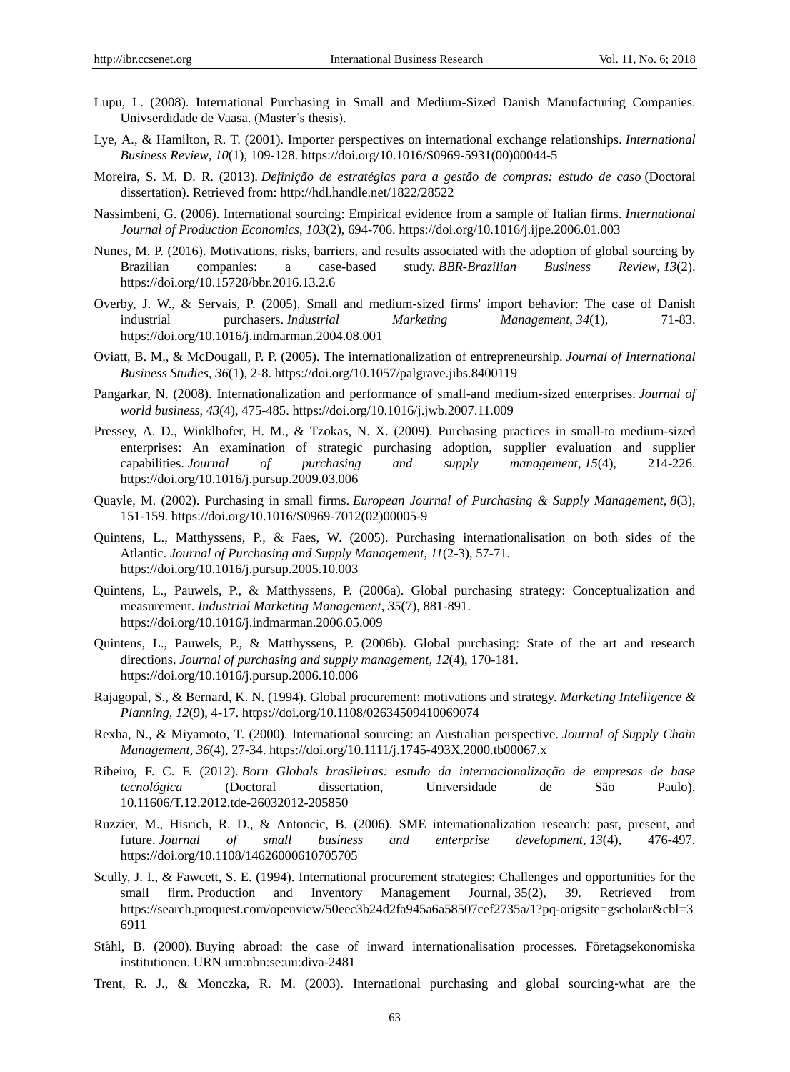- Lupu, L. (2008). International Purchasing in Small and Medium-Sized Danish Manufacturing Companies. Univserdidade de Vaasa. (Master's thesis).
- Lye, A., & Hamilton, R. T. (2001). Importer perspectives on international exchange relationships. *International Business Review*, *10*(1), 109-128. [https://doi.org/10.1016/S0969-5931\(00\)00044-5](https://doi.org/10.1016/S0969-5931(00)00044-5)
- Moreira, S. M. D. R. (2013). *Definição de estratégias para a gestão de compras: estudo de caso* (Doctoral dissertation). Retrieved from: http://hdl.handle.net/1822/28522
- Nassimbeni, G. (2006). International sourcing: Empirical evidence from a sample of Italian firms. *International Journal of Production Economics*, *103*(2), 694-706.<https://doi.org/10.1016/j.ijpe.2006.01.003>
- Nunes, M. P. (2016). Motivations, risks, barriers, and results associated with the adoption of global sourcing by Brazilian companies: a case-based study. *BBR-Brazilian Business Review*, *13*(2). https://doi.org/10.15728/bbr.2016.13.2.6
- Overby, J. W., & Servais, P. (2005). Small and medium-sized firms' import behavior: The case of Danish industrial purchasers. *Industrial Marketing Management*, *34*(1), 71-83. <https://doi.org/10.1016/j.indmarman.2004.08.001>
- Oviatt, B. M., & McDougall, P. P. (2005). The internationalization of entrepreneurship. *Journal of International Business Studies*, *36*(1), 2-8. https://doi.org/10.1057/palgrave.jibs.8400119
- Pangarkar, N. (2008). Internationalization and performance of small-and medium-sized enterprises. *Journal of world business*, *43*(4), 475-485[. https://doi.org/10.1016/j.jwb.2007.11.009](https://doi.org/10.1016/j.jwb.2007.11.009)
- Pressey, A. D., Winklhofer, H. M., & Tzokas, N. X. (2009). Purchasing practices in small-to medium-sized enterprises: An examination of strategic purchasing adoption, supplier evaluation and supplier capabilities. *Journal of purchasing and supply management*, *15*(4), 214-226. <https://doi.org/10.1016/j.pursup.2009.03.006>
- Quayle, M. (2002). Purchasing in small firms. *European Journal of Purchasing & Supply Management*, *8*(3), 151-159. [https://doi.org/10.1016/S0969-7012\(02\)00005-9](https://doi.org/10.1016/S0969-7012(02)00005-9)
- Quintens, L., Matthyssens, P., & Faes, W. (2005). Purchasing internationalisation on both sides of the Atlantic. *Journal of Purchasing and Supply Management*, *11*(2-3), 57-71. <https://doi.org/10.1016/j.pursup.2005.10.003>
- Quintens, L., Pauwels, P., & Matthyssens, P. (2006a). Global purchasing strategy: Conceptualization and measurement. *Industrial Marketing Management*, *35*(7), 881-891. <https://doi.org/10.1016/j.indmarman.2006.05.009>
- Quintens, L., Pauwels, P., & Matthyssens, P. (2006b). Global purchasing: State of the art and research directions. *Journal of purchasing and supply management, 12*(4), 170-181. <https://doi.org/10.1016/j.pursup.2006.10.006>
- Rajagopal, S., & Bernard, K. N. (1994). Global procurement: motivations and strategy. *Marketing Intelligence & Planning, 12*(9), 4-17[. https://doi.org/10.1108/02634509410069074](https://doi.org/10.1108/02634509410069074)
- Rexha, N., & Miyamoto, T. (2000). International sourcing: an Australian perspective. *Journal of Supply Chain Management, 36*(4), 27-34.<https://doi.org/10.1111/j.1745-493X.2000.tb00067.x>
- Ribeiro, F. C. F. (2012). *Born Globals brasileiras: estudo da internacionalização de empresas de base tecnológica* (Doctoral dissertation, Universidade de São Paulo). 10.11606/T.12.2012.tde-26032012-205850
- Ruzzier, M., Hisrich, R. D., & Antoncic, B. (2006). SME internationalization research: past, present, and future. *Journal of small business and enterprise development*, *13*(4), 476-497. <https://doi.org/10.1108/14626000610705705>
- Scully, J. I., & Fawcett, S. E. (1994). International procurement strategies: Challenges and opportunities for the small firm. Production and Inventory Management Journal, 35(2), 39. Retrieved from [https://search.proquest.com/openview/50eec3b24d2fa945a6a58507cef2735a/1?pq-origsite=gscholar&cbl=3](https://search.proquest.com/openview/50eec3b24d2fa945a6a58507cef2735a/1?pq-origsite=gscholar&cbl=36911) [6911](https://search.proquest.com/openview/50eec3b24d2fa945a6a58507cef2735a/1?pq-origsite=gscholar&cbl=36911)
- Ståhl, B. (2000). Buying abroad: the case of inward internationalisation processes. Företagsekonomiska institutionen. UR[N urn:nbn:se:uu:diva-2481](http://urn.kb.se/resolve?urn=urn%3Anbn%3Ase%3Auu%3Adiva-2481)
- Trent, R. J., & Monczka, R. M. (2003). International purchasing and global sourcing-what are the